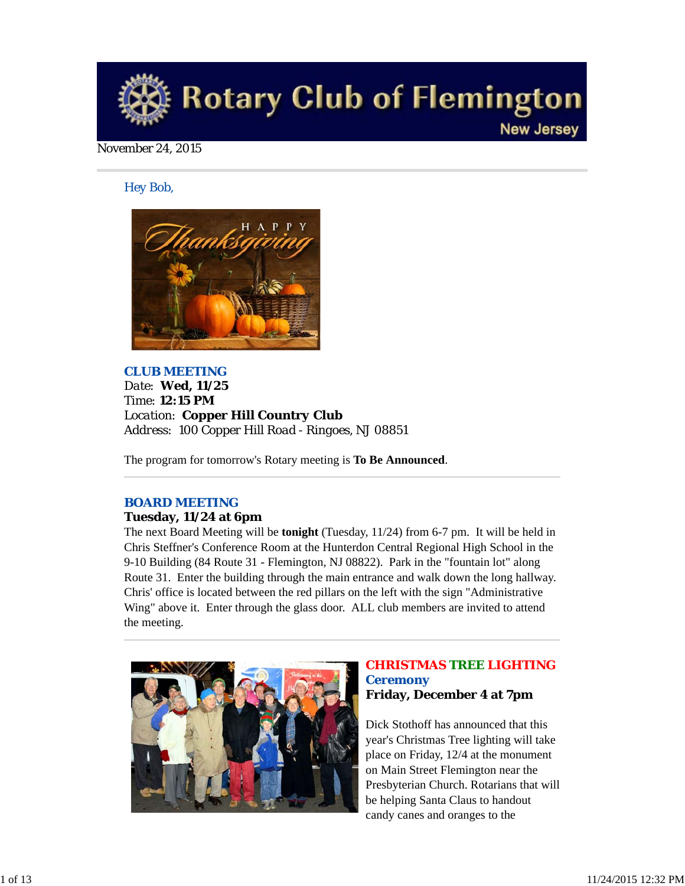

#### November 24, 2015

#### *Hey Bob,*



### *CLUB MEETING Date: Wed, 11/25 Time: 12:15 PM Location: Copper Hill Country Club Address: 100 Copper Hill Road - Ringoes, NJ 08851*

The program for tomorrow's Rotary meeting is **To Be Announced**.

#### *BOARD MEETING*

#### **Tuesday, 11/24 at 6pm**

The next Board Meeting will be **tonight** (Tuesday, 11/24) from 6-7 pm. It will be held in Chris Steffner's Conference Room at the Hunterdon Central Regional High School in the 9-10 Building (84 Route 31 - Flemington, NJ 08822). Park in the "fountain lot" along Route 31. Enter the building through the main entrance and walk down the long hallway. Chris' office is located between the red pillars on the left with the sign "Administrative Wing" above it. Enter through the glass door. ALL club members are invited to attend the meeting.



#### *CHRISTMAS TREE LIGHTING Ceremony* **Friday, December 4 at 7pm**

Dick Stothoff has announced that this year's Christmas Tree lighting will take place on Friday, 12/4 at the monument on Main Street Flemington near the Presbyterian Church. Rotarians that will be helping Santa Claus to handout candy canes and oranges to the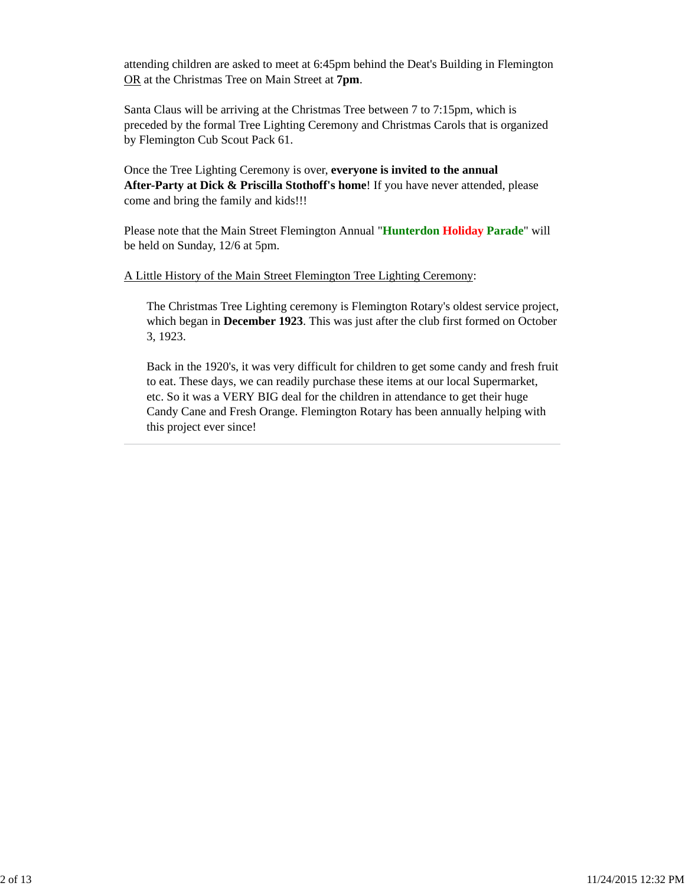attending children are asked to meet at 6:45pm behind the Deat's Building in Flemington OR at the Christmas Tree on Main Street at **7pm**.

Santa Claus will be arriving at the Christmas Tree between 7 to 7:15pm, which is preceded by the formal Tree Lighting Ceremony and Christmas Carols that is organized by Flemington Cub Scout Pack 61.

Once the Tree Lighting Ceremony is over, **everyone is invited to the annual After-Party at Dick & Priscilla Stothoff's home**! If you have never attended, please come and bring the family and kids!!!

Please note that the Main Street Flemington Annual "**Hunterdon Holiday Parade**" will be held on Sunday, 12/6 at 5pm.

#### A Little History of the Main Street Flemington Tree Lighting Ceremony:

The Christmas Tree Lighting ceremony is Flemington Rotary's oldest service project, which began in **December 1923**. This was just after the club first formed on October 3, 1923.

Back in the 1920's, it was very difficult for children to get some candy and fresh fruit to eat. These days, we can readily purchase these items at our local Supermarket, etc. So it was a VERY BIG deal for the children in attendance to get their huge Candy Cane and Fresh Orange. Flemington Rotary has been annually helping with this project ever since!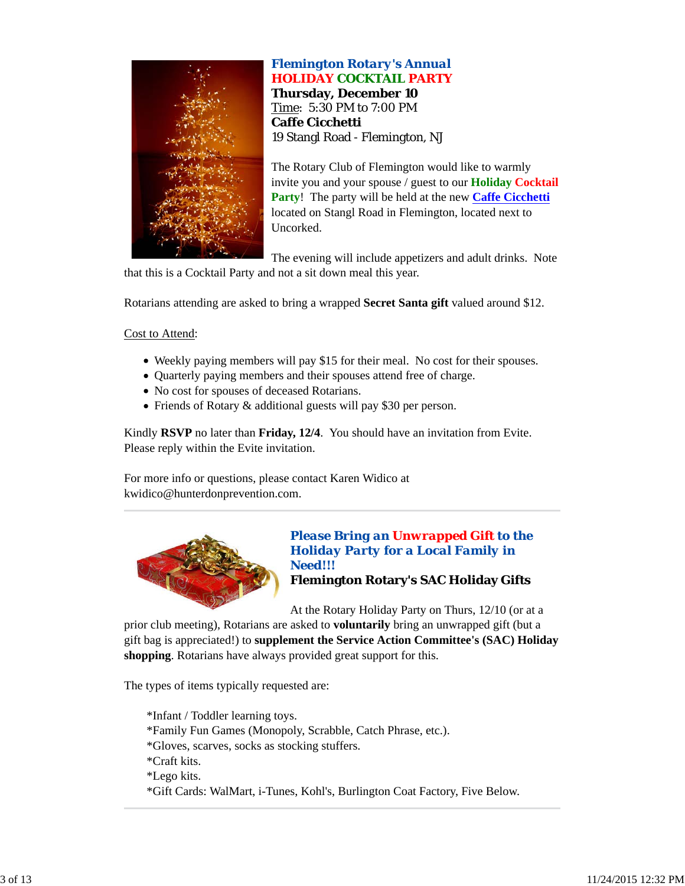

*Flemington Rotary's Annual* **HOLIDAY COCKTAIL PARTY Thursday, December 10** Time: 5:30 PM to 7:00 PM **Caffe Cicchetti** 19 Stangl Road - Flemington, NJ

The Rotary Club of Flemington would like to warmly invite you and your spouse / guest to our **Holiday Cocktail Party**! The party will be held at the new **Caffe Cicchetti** located on Stangl Road in Flemington, located next to Uncorked.

The evening will include appetizers and adult drinks. Note that this is a Cocktail Party and not a sit down meal this year.

Rotarians attending are asked to bring a wrapped **Secret Santa gift** valued around \$12.

Cost to Attend:

- Weekly paying members will pay \$15 for their meal. No cost for their spouses.
- Quarterly paying members and their spouses attend free of charge.
- No cost for spouses of deceased Rotarians.
- Friends of Rotary & additional guests will pay \$30 per person.

Kindly **RSVP** no later than **Friday, 12/4**. You should have an invitation from Evite. Please reply within the Evite invitation.

For more info or questions, please contact Karen Widico at kwidico@hunterdonprevention.com.



*Please Bring an Unwrapped Gift to the Holiday Party for a Local Family in Need!!!*

**Flemington Rotary's SAC Holiday Gifts**

At the Rotary Holiday Party on Thurs, 12/10 (or at a

prior club meeting), Rotarians are asked to **voluntarily** bring an unwrapped gift (but a gift bag is appreciated!) to **supplement the Service Action Committee's (SAC) Holiday shopping**. Rotarians have always provided great support for this.

The types of items typically requested are:

\*Infant / Toddler learning toys. \*Family Fun Games (Monopoly, Scrabble, Catch Phrase, etc.). \*Gloves, scarves, socks as stocking stuffers. \*Craft kits. \*Lego kits. \*Gift Cards: WalMart, i-Tunes, Kohl's, Burlington Coat Factory, Five Below.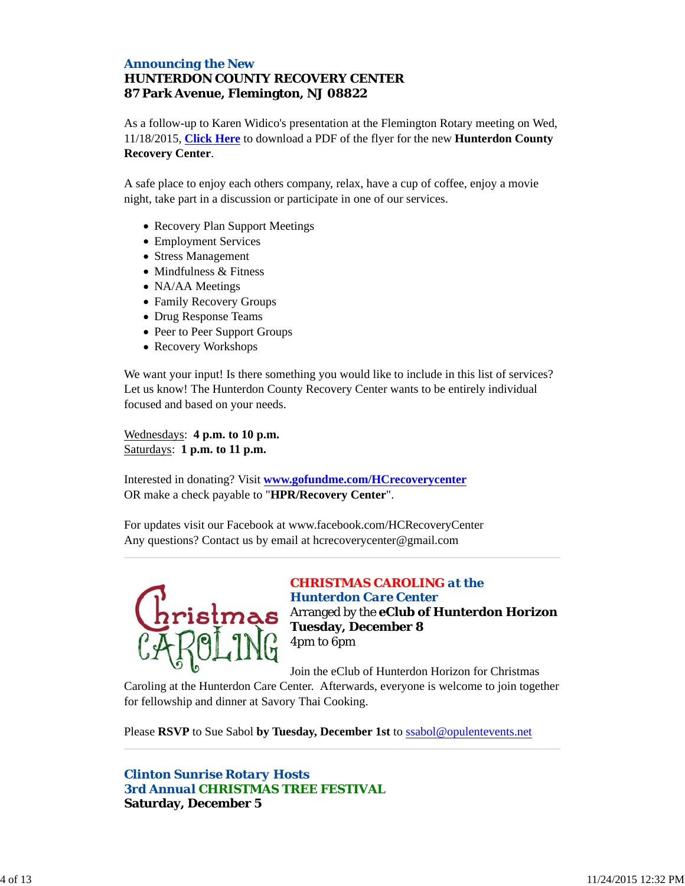### *Announcing the New HUNTERDON COUNTY RECOVERY CENTER* **87 Park Avenue, Flemington, NJ 08822**

As a follow-up to Karen Widico's presentation at the Flemington Rotary meeting on Wed, 11/18/2015, **Click Here** to download a PDF of the flyer for the new **Hunterdon County Recovery Center**.

A safe place to enjoy each others company, relax, have a cup of coffee, enjoy a movie night, take part in a discussion or participate in one of our services.

- Recovery Plan Support Meetings
- Employment Services
- Stress Management
- Mindfulness & Fitness
- NA/AA Meetings
- Family Recovery Groups
- Drug Response Teams
- Peer to Peer Support Groups
- Recovery Workshops

We want your input! Is there something you would like to include in this list of services? Let us know! The Hunterdon County Recovery Center wants to be entirely individual focused and based on your needs.

Wednesdays: **4 p.m. to 10 p.m.** Saturdays: **1 p.m. to 11 p.m.**

Interested in donating? Visit **www.gofundme.com/HCrecoverycenter** OR make a check payable to "**HPR/Recovery Center**".

For updates visit our Facebook at www.facebook.com/HCRecoveryCenter Any questions? Contact us by email at hcrecoverycenter@gmail.com



### *CHRISTMAS CAROLING at the Hunterdon Care Center* hristmas Arranged by the **eClub of Hunterdon Horizon Tuesday, December 8**

Join the eClub of Hunterdon Horizon for Christmas

Caroling at the Hunterdon Care Center. Afterwards, everyone is welcome to join together for fellowship and dinner at Savory Thai Cooking.

Please **RSVP** to Sue Sabol **by Tuesday, December 1st** to ssabol@opulentevents.net

4pm to 6pm

*Clinton Sunrise Rotary Hosts 3rd Annual CHRISTMAS TREE FESTIVAL* **Saturday, December 5**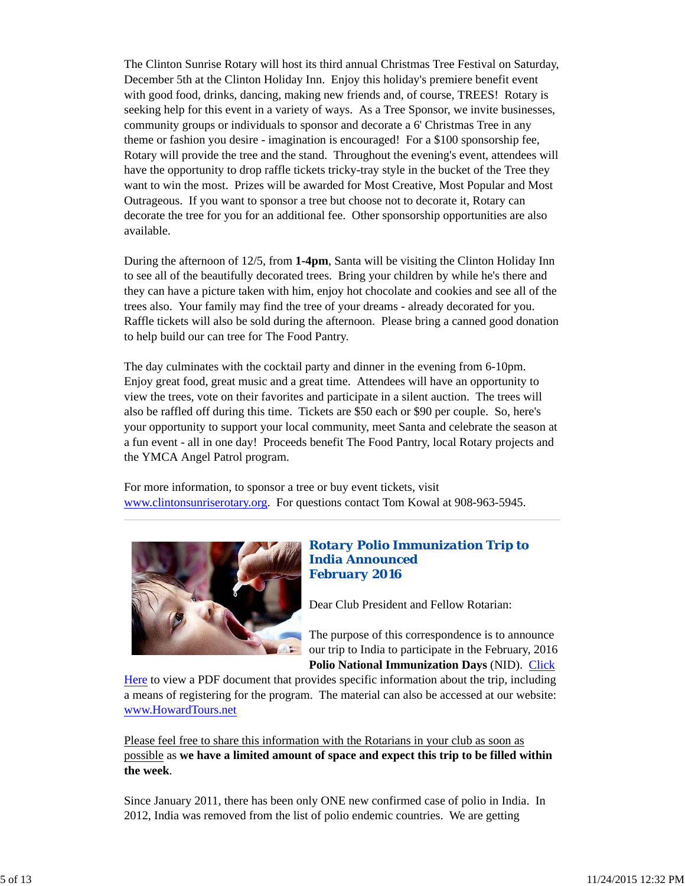The Clinton Sunrise Rotary will host its third annual Christmas Tree Festival on Saturday, December 5th at the Clinton Holiday Inn. Enjoy this holiday's premiere benefit event with good food, drinks, dancing, making new friends and, of course, TREES! Rotary is seeking help for this event in a variety of ways. As a Tree Sponsor, we invite businesses, community groups or individuals to sponsor and decorate a 6' Christmas Tree in any theme or fashion you desire - imagination is encouraged! For a \$100 sponsorship fee, Rotary will provide the tree and the stand. Throughout the evening's event, attendees will have the opportunity to drop raffle tickets tricky-tray style in the bucket of the Tree they want to win the most. Prizes will be awarded for Most Creative, Most Popular and Most Outrageous. If you want to sponsor a tree but choose not to decorate it, Rotary can decorate the tree for you for an additional fee. Other sponsorship opportunities are also available.

During the afternoon of 12/5, from **1-4pm**, Santa will be visiting the Clinton Holiday Inn to see all of the beautifully decorated trees. Bring your children by while he's there and they can have a picture taken with him, enjoy hot chocolate and cookies and see all of the trees also. Your family may find the tree of your dreams - already decorated for you. Raffle tickets will also be sold during the afternoon. Please bring a canned good donation to help build our can tree for The Food Pantry.

The day culminates with the cocktail party and dinner in the evening from 6-10pm. Enjoy great food, great music and a great time. Attendees will have an opportunity to view the trees, vote on their favorites and participate in a silent auction. The trees will also be raffled off during this time. Tickets are \$50 each or \$90 per couple. So, here's your opportunity to support your local community, meet Santa and celebrate the season at a fun event - all in one day! Proceeds benefit The Food Pantry, local Rotary projects and the YMCA Angel Patrol program.

For more information, to sponsor a tree or buy event tickets, visit www.clintonsunriserotary.org. For questions contact Tom Kowal at 908-963-5945.



### *Rotary Polio Immunization Trip to India Announced February 2016*

Dear Club President and Fellow Rotarian:

The purpose of this correspondence is to announce our trip to India to participate in the February, 2016 **Polio National Immunization Days** (NID). Click

Here to view a PDF document that provides specific information about the trip, including a means of registering for the program. The material can also be accessed at our website: www.HowardTours.net

Please feel free to share this information with the Rotarians in your club as soon as possible as **we have a limited amount of space and expect this trip to be filled within the week**.

Since January 2011, there has been only ONE new confirmed case of polio in India. In 2012, India was removed from the list of polio endemic countries. We are getting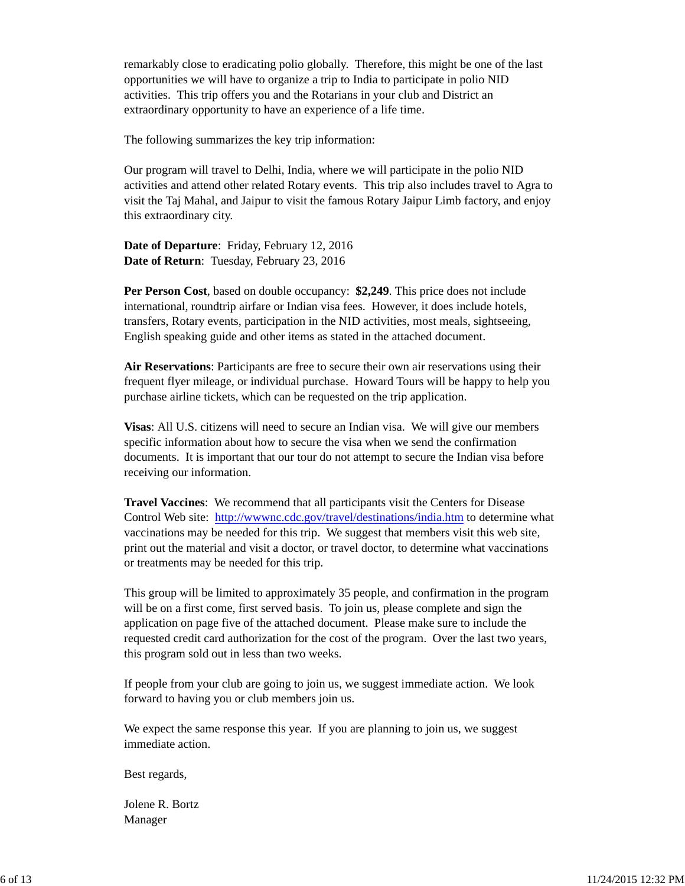remarkably close to eradicating polio globally. Therefore, this might be one of the last opportunities we will have to organize a trip to India to participate in polio NID activities. This trip offers you and the Rotarians in your club and District an extraordinary opportunity to have an experience of a life time.

The following summarizes the key trip information:

Our program will travel to Delhi, India, where we will participate in the polio NID activities and attend other related Rotary events. This trip also includes travel to Agra to visit the Taj Mahal, and Jaipur to visit the famous Rotary Jaipur Limb factory, and enjoy this extraordinary city.

**Date of Departure**: Friday, February 12, 2016 **Date of Return**: Tuesday, February 23, 2016

**Per Person Cost**, based on double occupancy: **\$2,249**. This price does not include international, roundtrip airfare or Indian visa fees. However, it does include hotels, transfers, Rotary events, participation in the NID activities, most meals, sightseeing, English speaking guide and other items as stated in the attached document.

**Air Reservations**: Participants are free to secure their own air reservations using their frequent flyer mileage, or individual purchase. Howard Tours will be happy to help you purchase airline tickets, which can be requested on the trip application.

**Visas**: All U.S. citizens will need to secure an Indian visa. We will give our members specific information about how to secure the visa when we send the confirmation documents. It is important that our tour do not attempt to secure the Indian visa before receiving our information.

**Travel Vaccines**: We recommend that all participants visit the Centers for Disease Control Web site: http://wwwnc.cdc.gov/travel/destinations/india.htm to determine what vaccinations may be needed for this trip. We suggest that members visit this web site, print out the material and visit a doctor, or travel doctor, to determine what vaccinations or treatments may be needed for this trip.

This group will be limited to approximately 35 people, and confirmation in the program will be on a first come, first served basis. To join us, please complete and sign the application on page five of the attached document. Please make sure to include the requested credit card authorization for the cost of the program. Over the last two years, this program sold out in less than two weeks.

If people from your club are going to join us, we suggest immediate action. We look forward to having you or club members join us.

We expect the same response this year. If you are planning to join us, we suggest immediate action.

Best regards,

Jolene R. Bortz Manager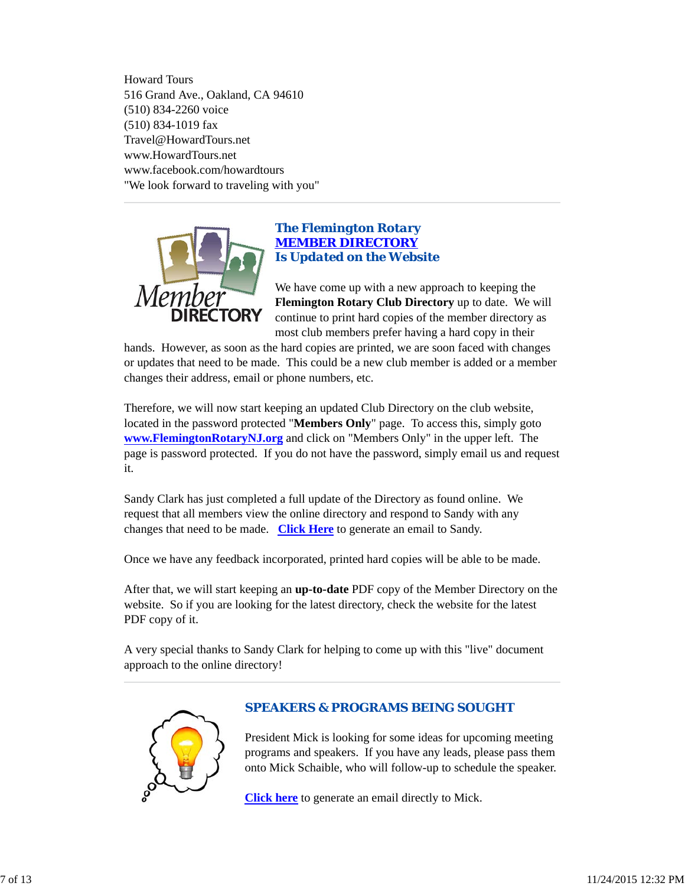Howard Tours 516 Grand Ave., Oakland, CA 94610 (510) 834-2260 voice (510) 834-1019 fax Travel@HowardTours.net www.HowardTours.net www.facebook.com/howardtours "We look forward to traveling with you"



### *The Flemington Rotary MEMBER DIRECTORY Is Updated on the Website*

We have come up with a new approach to keeping the **Flemington Rotary Club Directory** up to date. We will continue to print hard copies of the member directory as most club members prefer having a hard copy in their

hands. However, as soon as the hard copies are printed, we are soon faced with changes or updates that need to be made. This could be a new club member is added or a member changes their address, email or phone numbers, etc.

Therefore, we will now start keeping an updated Club Directory on the club website, located in the password protected "**Members Only**" page. To access this, simply goto **www.FlemingtonRotaryNJ.org** and click on "Members Only" in the upper left. The page is password protected. If you do not have the password, simply email us and request it.

Sandy Clark has just completed a full update of the Directory as found online. We request that all members view the online directory and respond to Sandy with any changes that need to be made. **Click Here** to generate an email to Sandy.

Once we have any feedback incorporated, printed hard copies will be able to be made.

After that, we will start keeping an **up-to-date** PDF copy of the Member Directory on the website. So if you are looking for the latest directory, check the website for the latest PDF copy of it.

A very special thanks to Sandy Clark for helping to come up with this "live" document approach to the online directory!



### *SPEAKERS & PROGRAMS BEING SOUGHT*

President Mick is looking for some ideas for upcoming meeting programs and speakers. If you have any leads, please pass them onto Mick Schaible, who will follow-up to schedule the speaker.

**Click here** to generate an email directly to Mick.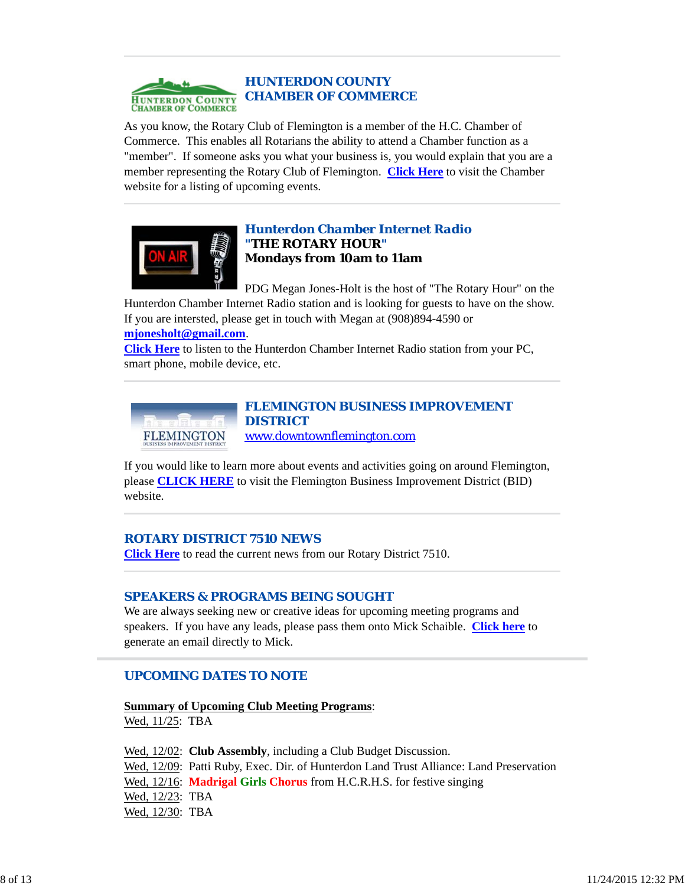

As you know, the Rotary Club of Flemington is a member of the H.C. Chamber of Commerce. This enables all Rotarians the ability to attend a Chamber function as a "member". If someone asks you what your business is, you would explain that you are a member representing the Rotary Club of Flemington. **Click Here** to visit the Chamber website for a listing of upcoming events.



### *Hunterdon Chamber Internet Radio "THE ROTARY HOUR"* **Mondays from 10am to 11am**

PDG Megan Jones-Holt is the host of "The Rotary Hour" on the Hunterdon Chamber Internet Radio station and is looking for guests to have on the show. If you are intersted, please get in touch with Megan at (908)894-4590 or

#### **mjonesholt@gmail.com**.

**Click Here** to listen to the Hunterdon Chamber Internet Radio station from your PC, smart phone, mobile device, etc.



*FLEMINGTON BUSINESS IMPROVEMENT DISTRICT* www.downtownflemington.com

If you would like to learn more about events and activities going on around Flemington, please **CLICK HERE** to visit the Flemington Business Improvement District (BID) website.

#### *ROTARY DISTRICT 7510 NEWS*

**Click Here** to read the current news from our Rotary District 7510.

#### *SPEAKERS & PROGRAMS BEING SOUGHT*

We are always seeking new or creative ideas for upcoming meeting programs and speakers. If you have any leads, please pass them onto Mick Schaible. **Click here** to generate an email directly to Mick.

### *UPCOMING DATES TO NOTE*

**Summary of Upcoming Club Meeting Programs**:

Wed, 11/25: TBA

Wed, 12/02: **Club Assembly**, including a Club Budget Discussion. Wed, 12/09: Patti Ruby, Exec. Dir. of Hunterdon Land Trust Alliance: Land Preservation Wed, 12/16: **Madrigal Girls Chorus** from H.C.R.H.S. for festive singing Wed, 12/23: TBA Wed, 12/30: TBA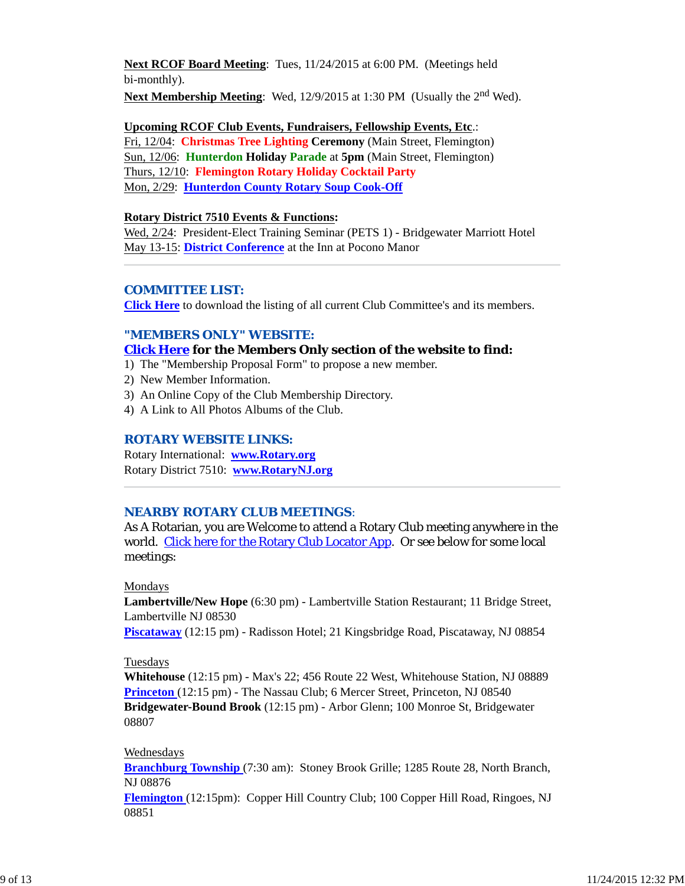**Next RCOF Board Meeting**: Tues, 11/24/2015 at 6:00 PM. (Meetings held bi-monthly). **Next Membership Meeting**: Wed, 12/9/2015 at 1:30 PM (Usually the 2<sup>nd</sup> Wed).

**Upcoming RCOF Club Events, Fundraisers, Fellowship Events, Etc**.: Fri, 12/04: **Christmas Tree Lighting Ceremony** (Main Street, Flemington) Sun, 12/06: **Hunterdon Holiday Parade** at **5pm** (Main Street, Flemington) Thurs, 12/10: **Flemington Rotary Holiday Cocktail Party** Mon, 2/29: **Hunterdon County Rotary Soup Cook-Off**

#### **Rotary District 7510 Events & Functions:**

Wed, 2/24: President-Elect Training Seminar (PETS 1) - Bridgewater Marriott Hotel May 13-15: **District Conference** at the Inn at Pocono Manor

#### *COMMITTEE LIST:*

**Click Here** to download the listing of all current Club Committee's and its members.

#### *"MEMBERS ONLY" WEBSITE:*

#### **Click Here for the Members Only section of the website to find:**

1) The "Membership Proposal Form" to propose a new member.

- 2) New Member Information.
- 3) An Online Copy of the Club Membership Directory.
- 4) A Link to All Photos Albums of the Club.

#### *ROTARY WEBSITE LINKS:*

Rotary International: **www.Rotary.org** Rotary District 7510: **www.RotaryNJ.org**

#### *NEARBY ROTARY CLUB MEETINGS:*

As A Rotarian, you are Welcome to attend a Rotary Club meeting anywhere in the world. Click here for the Rotary Club Locator App. Or see below for some local meetings:

#### Mondays

**Lambertville/New Hope** (6:30 pm) - Lambertville Station Restaurant; 11 Bridge Street, Lambertville NJ 08530

**Piscataway** (12:15 pm) - Radisson Hotel; 21 Kingsbridge Road, Piscataway, NJ 08854

#### **Tuesdays**

**Whitehouse** (12:15 pm) - Max's 22; 456 Route 22 West, Whitehouse Station, NJ 08889 **Princeton** (12:15 pm) - The Nassau Club; 6 Mercer Street, Princeton, NJ 08540 **Bridgewater-Bound Brook** (12:15 pm) - Arbor Glenn; 100 Monroe St, Bridgewater 08807

#### Wednesdays

**Branchburg Township** (7:30 am): Stoney Brook Grille; 1285 Route 28, North Branch, NJ 08876

**Flemington** (12:15pm): Copper Hill Country Club; 100 Copper Hill Road, Ringoes, NJ 08851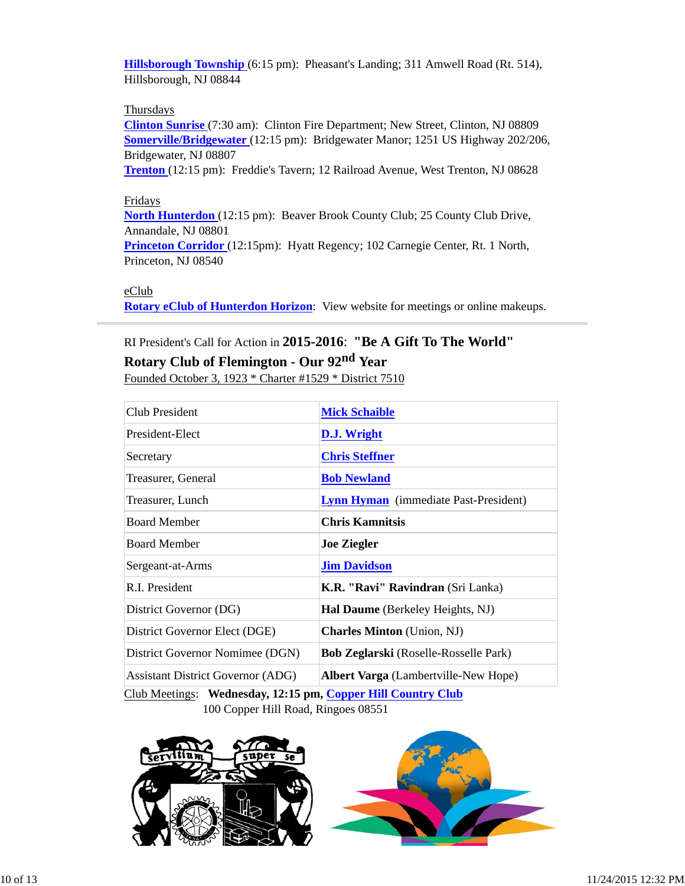**Hillsborough Township** (6:15 pm): Pheasant's Landing; 311 Amwell Road (Rt. 514), Hillsborough, NJ 08844

#### **Thursdays**

**Clinton Sunrise** (7:30 am): Clinton Fire Department; New Street, Clinton, NJ 08809 **Somerville/Bridgewater** (12:15 pm): Bridgewater Manor; 1251 US Highway 202/206, Bridgewater, NJ 08807

**Trenton** (12:15 pm): Freddie's Tavern; 12 Railroad Avenue, West Trenton, NJ 08628

#### Fridays

**North Hunterdon** (12:15 pm): Beaver Brook County Club; 25 County Club Drive, Annandale, NJ 08801

**Princeton Corridor** (12:15pm): Hyatt Regency; 102 Carnegie Center, Rt. 1 North, Princeton, NJ 08540

#### eClub

**Rotary eClub of Hunterdon Horizon**: View website for meetings or online makeups.

# RI President's Call for Action in **2015-2016**: **"Be A Gift To The World"**

# **Rotary Club of Flemington - Our 92nd Year**

Founded October 3, 1923 \* Charter #1529 \* District 7510

| Club President                           | <b>Mick Schaible</b>                         |  |
|------------------------------------------|----------------------------------------------|--|
| President-Elect                          | D.J. Wright                                  |  |
| Secretary                                | <b>Chris Steffner</b>                        |  |
| Treasurer, General                       | <b>Bob Newland</b>                           |  |
| Treasurer, Lunch                         | <b>Lynn Hyman</b> (immediate Past-President) |  |
| <b>Board Member</b>                      | <b>Chris Kamnitsis</b>                       |  |
| <b>Board Member</b>                      | <b>Joe Ziegler</b>                           |  |
| Sergeant-at-Arms                         | <b>Jim Davidson</b>                          |  |
| R.I. President                           | K.R. "Ravi" Ravindran (Sri Lanka)            |  |
| District Governor (DG)                   | <b>Hal Daume</b> (Berkeley Heights, NJ)      |  |
| District Governor Elect (DGE)            | <b>Charles Minton</b> (Union, NJ)            |  |
| District Governor Nomimee (DGN)          | <b>Bob Zeglarski</b> (Roselle-Rosselle Park) |  |
| <b>Assistant District Governor (ADG)</b> | <b>Albert Varga</b> (Lambertville-New Hope)  |  |

Club Meetings: **Wednesday, 12:15 pm, Copper Hill Country Club** 100 Copper Hill Road, Ringoes 08551

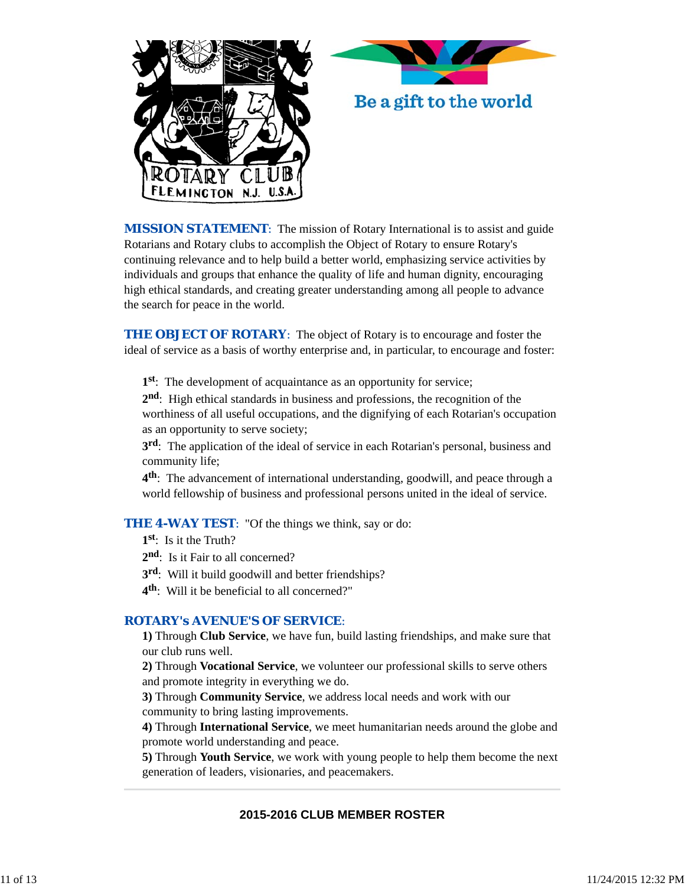



*MISSION STATEMENT*: The mission of Rotary International is to assist and guide Rotarians and Rotary clubs to accomplish the Object of Rotary to ensure Rotary's continuing relevance and to help build a better world, emphasizing service activities by individuals and groups that enhance the quality of life and human dignity, encouraging high ethical standards, and creating greater understanding among all people to advance the search for peace in the world.

**THE OBJECT OF ROTARY:** The object of Rotary is to encourage and foster the ideal of service as a basis of worthy enterprise and, in particular, to encourage and foster:

**1st**: The development of acquaintance as an opportunity for service;

**2nd**: High ethical standards in business and professions, the recognition of the worthiness of all useful occupations, and the dignifying of each Rotarian's occupation as an opportunity to serve society;

**3rd**: The application of the ideal of service in each Rotarian's personal, business and community life;

**4th**: The advancement of international understanding, goodwill, and peace through a world fellowship of business and professional persons united in the ideal of service.

#### **THE 4-WAY TEST:** "Of the things we think, say or do:

- **1st**: Is it the Truth?
- 2<sup>nd</sup>: Is it Fair to all concerned?
- **3rd**: Will it build goodwill and better friendships?
- **4th**: Will it be beneficial to all concerned?"

#### *ROTARY's AVENUE'S OF SERVICE*:

**1)** Through **Club Service**, we have fun, build lasting friendships, and make sure that our club runs well.

**2)** Through **Vocational Service**, we volunteer our professional skills to serve others and promote integrity in everything we do.

**3)** Through **Community Service**, we address local needs and work with our community to bring lasting improvements.

**4)** Through **International Service**, we meet humanitarian needs around the globe and promote world understanding and peace.

**5)** Through **Youth Service**, we work with young people to help them become the next generation of leaders, visionaries, and peacemakers.

### **2015-2016 CLUB MEMBER ROSTER**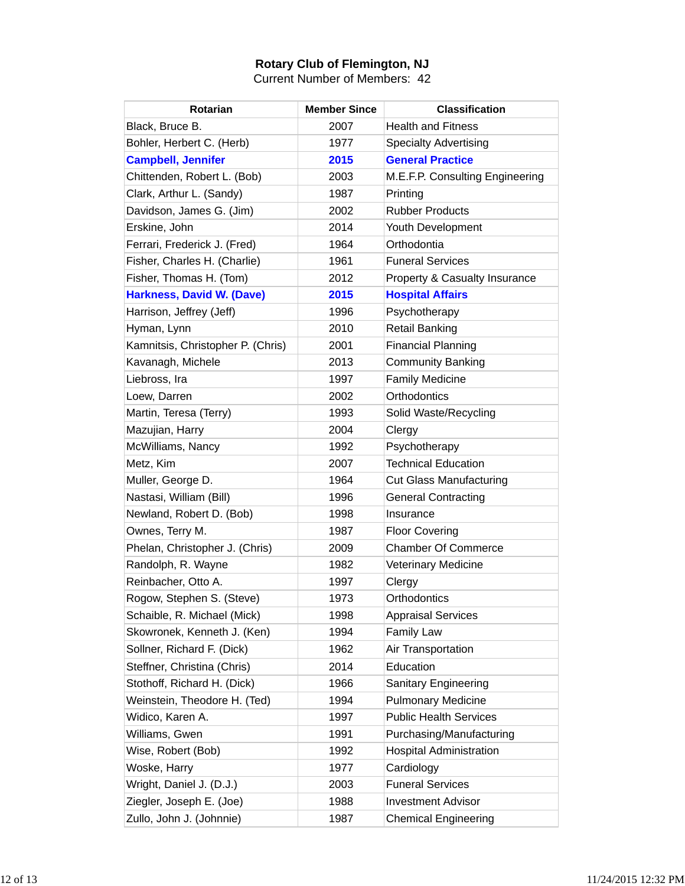# **Rotary Club of Flemington, NJ**

Current Number of Members: 42

| <b>Rotarian</b>                   | <b>Member Since</b> | <b>Classification</b>                    |
|-----------------------------------|---------------------|------------------------------------------|
| Black, Bruce B.                   | 2007                | <b>Health and Fitness</b>                |
| Bohler, Herbert C. (Herb)         | 1977                | <b>Specialty Advertising</b>             |
| <b>Campbell, Jennifer</b>         | 2015                | <b>General Practice</b>                  |
| Chittenden, Robert L. (Bob)       | 2003                | M.E.F.P. Consulting Engineering          |
| Clark, Arthur L. (Sandy)          | 1987                | Printing                                 |
| Davidson, James G. (Jim)          | 2002                | <b>Rubber Products</b>                   |
| Erskine, John                     | 2014                | Youth Development                        |
| Ferrari, Frederick J. (Fred)      | 1964                | Orthodontia                              |
| Fisher, Charles H. (Charlie)      | 1961                | <b>Funeral Services</b>                  |
| Fisher, Thomas H. (Tom)           | 2012                | <b>Property &amp; Casualty Insurance</b> |
| <b>Harkness, David W. (Dave)</b>  | 2015                | <b>Hospital Affairs</b>                  |
| Harrison, Jeffrey (Jeff)          | 1996                | Psychotherapy                            |
| Hyman, Lynn                       | 2010                | <b>Retail Banking</b>                    |
| Kamnitsis, Christopher P. (Chris) | 2001                | <b>Financial Planning</b>                |
| Kavanagh, Michele                 | 2013                | <b>Community Banking</b>                 |
| Liebross, Ira                     | 1997                | <b>Family Medicine</b>                   |
| Loew, Darren                      | 2002                | Orthodontics                             |
| Martin, Teresa (Terry)            | 1993                | Solid Waste/Recycling                    |
| Mazujian, Harry                   | 2004                | Clergy                                   |
| McWilliams, Nancy                 | 1992                | Psychotherapy                            |
| Metz, Kim                         | 2007                | <b>Technical Education</b>               |
| Muller, George D.                 | 1964                | <b>Cut Glass Manufacturing</b>           |
| Nastasi, William (Bill)           | 1996                | <b>General Contracting</b>               |
| Newland, Robert D. (Bob)          | 1998                | Insurance                                |
| Ownes, Terry M.                   | 1987                | <b>Floor Covering</b>                    |
| Phelan, Christopher J. (Chris)    | 2009                | <b>Chamber Of Commerce</b>               |
| Randolph, R. Wayne                | 1982                | <b>Veterinary Medicine</b>               |
| Reinbacher, Otto A.               | 1997                | Clergy                                   |
| Rogow, Stephen S. (Steve)         | 1973                | Orthodontics                             |
| Schaible, R. Michael (Mick)       | 1998                | <b>Appraisal Services</b>                |
| Skowronek, Kenneth J. (Ken)       | 1994                | <b>Family Law</b>                        |
| Sollner, Richard F. (Dick)        | 1962                | Air Transportation                       |
| Steffner, Christina (Chris)       | 2014                | Education                                |
| Stothoff, Richard H. (Dick)       | 1966                | <b>Sanitary Engineering</b>              |
| Weinstein, Theodore H. (Ted)      | 1994                | <b>Pulmonary Medicine</b>                |
| Widico, Karen A.                  | 1997                | <b>Public Health Services</b>            |
| Williams, Gwen                    | 1991                | Purchasing/Manufacturing                 |
| Wise, Robert (Bob)                | 1992                | <b>Hospital Administration</b>           |
| Woske, Harry                      | 1977                | Cardiology                               |
| Wright, Daniel J. (D.J.)          | 2003                | <b>Funeral Services</b>                  |
| Ziegler, Joseph E. (Joe)          | 1988                | <b>Investment Advisor</b>                |
| Zullo, John J. (Johnnie)          | 1987                | <b>Chemical Engineering</b>              |